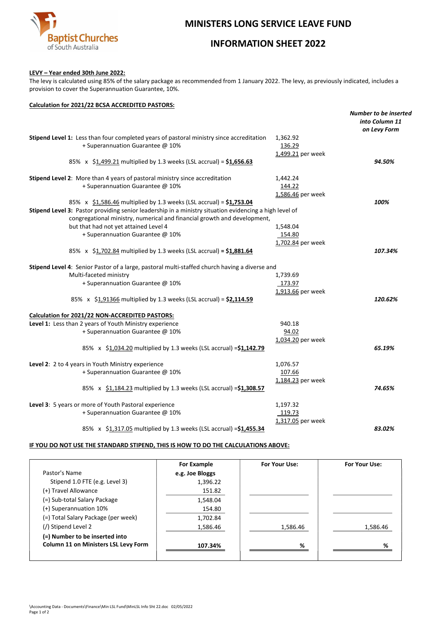

# MINISTERS LONG SERVICE LEAVE FUND

## INFORMATION SHEET 2022

## LEVY – Year ended 30th June 2022:

The levy is calculated using 85% of the salary package as recommended from 1 January 2022. The levy, as previously indicated, includes a provision to cover the Superannuation Guarantee, 10%.

### Calculation for 2021/22 BCSA ACCREDITED PASTORS:

|                                                                                                        |                   | <b>Number to be inserted</b> |
|--------------------------------------------------------------------------------------------------------|-------------------|------------------------------|
|                                                                                                        |                   | into Column 11               |
|                                                                                                        |                   | on Levy Form                 |
| Stipend Level 1: Less than four completed years of pastoral ministry since accreditation               | 1,362.92          |                              |
| + Superannuation Guarantee @ 10%                                                                       | 136.29            |                              |
|                                                                                                        | 1,499.21 per week |                              |
| 85% x \$1,499.21 multiplied by 1.3 weeks (LSL accrual) = $$1,656.63$                                   |                   | 94.50%                       |
| Stipend Level 2: More than 4 years of pastoral ministry since accreditation                            | 1,442.24          |                              |
| + Superannuation Guarantee @ 10%                                                                       | 144.22            |                              |
|                                                                                                        | 1,586.46 per week |                              |
| 85% x $$1,586.46$ multiplied by 1.3 weeks (LSL accrual) = $$1,753.04$                                  |                   | 100%                         |
| Stipend Level 3: Pastor providing senior leadership in a ministry situation evidencing a high level of |                   |                              |
| congregational ministry, numerical and financial growth and development,                               |                   |                              |
| but that had not yet attained Level 4                                                                  | 1,548.04          |                              |
| + Superannuation Guarantee @ 10%                                                                       | 154.80            |                              |
|                                                                                                        | 1,702.84 per week |                              |
| 85% x \$1,702.84 multiplied by 1.3 weeks (LSL accrual) = $$1,881.64$                                   |                   | 107.34%                      |
| Stipend Level 4: Senior Pastor of a large, pastoral multi-staffed church having a diverse and          |                   |                              |
| Multi-faceted ministry                                                                                 | 1,739.69          |                              |
| + Superannuation Guarantee @ 10%                                                                       | 173.97            |                              |
|                                                                                                        | 1,913.66 per week |                              |
| 85% x \$1,91366 multiplied by 1.3 weeks (LSL accrual) = $$2,114.59$                                    |                   | 120.62%                      |
| Calculation for 2021/22 NON-ACCREDITED PASTORS:                                                        |                   |                              |
| Level 1: Less than 2 years of Youth Ministry experience                                                | 940.18            |                              |
| + Superannuation Guarantee @ 10%                                                                       | 94.02             |                              |
|                                                                                                        | 1,034.20 per week |                              |
| 85% x \$1,034.20 multiplied by 1.3 weeks (LSL accrual) = \$1,142.79                                    |                   | 65.19%                       |
| Level 2: 2 to 4 years in Youth Ministry experience                                                     | 1,076.57          |                              |
| + Superannuation Guarantee @ 10%                                                                       | 107.66            |                              |
|                                                                                                        | 1,184.23 per week |                              |
| 85% x \$1,184.23 multiplied by 1.3 weeks (LSL accrual) = \$1,308.57                                    |                   | 74.65%                       |
| Level 3: 5 years or more of Youth Pastoral experience                                                  | 1,197.32          |                              |
| + Superannuation Guarantee @ 10%                                                                       | 119.73            |                              |
|                                                                                                        | 1,317.05 per week |                              |
| 85% x \$1,317.05 multiplied by 1.3 weeks (LSL accrual) = \$1,455.34                                    |                   | 83.02%                       |

## IF YOU DO NOT USE THE STANDARD STIPEND, THIS IS HOW TO DO THE CALCULATIONS ABOVE:

|                                             | For Example     | For Your Use: | For Your Use: |
|---------------------------------------------|-----------------|---------------|---------------|
| Pastor's Name                               | e.g. Joe Bloggs |               |               |
| Stipend 1.0 FTE (e.g. Level 3)              | 1,396.22        |               |               |
| (+) Travel Allowance                        | 151.82          |               |               |
| (=) Sub-total Salary Package                | 1,548.04        |               |               |
| (+) Superannuation 10%                      | 154.80          |               |               |
| (=) Total Salary Package (per week)         | 1,702.84        |               |               |
| (/) Stipend Level 2                         | 1,586.46        | 1,586.46      | 1,586.46      |
| (=) Number to be inserted into              |                 |               |               |
| <b>Column 11 on Ministers LSL Levy Form</b> | 107.34%         | %             | %             |
|                                             |                 |               |               |